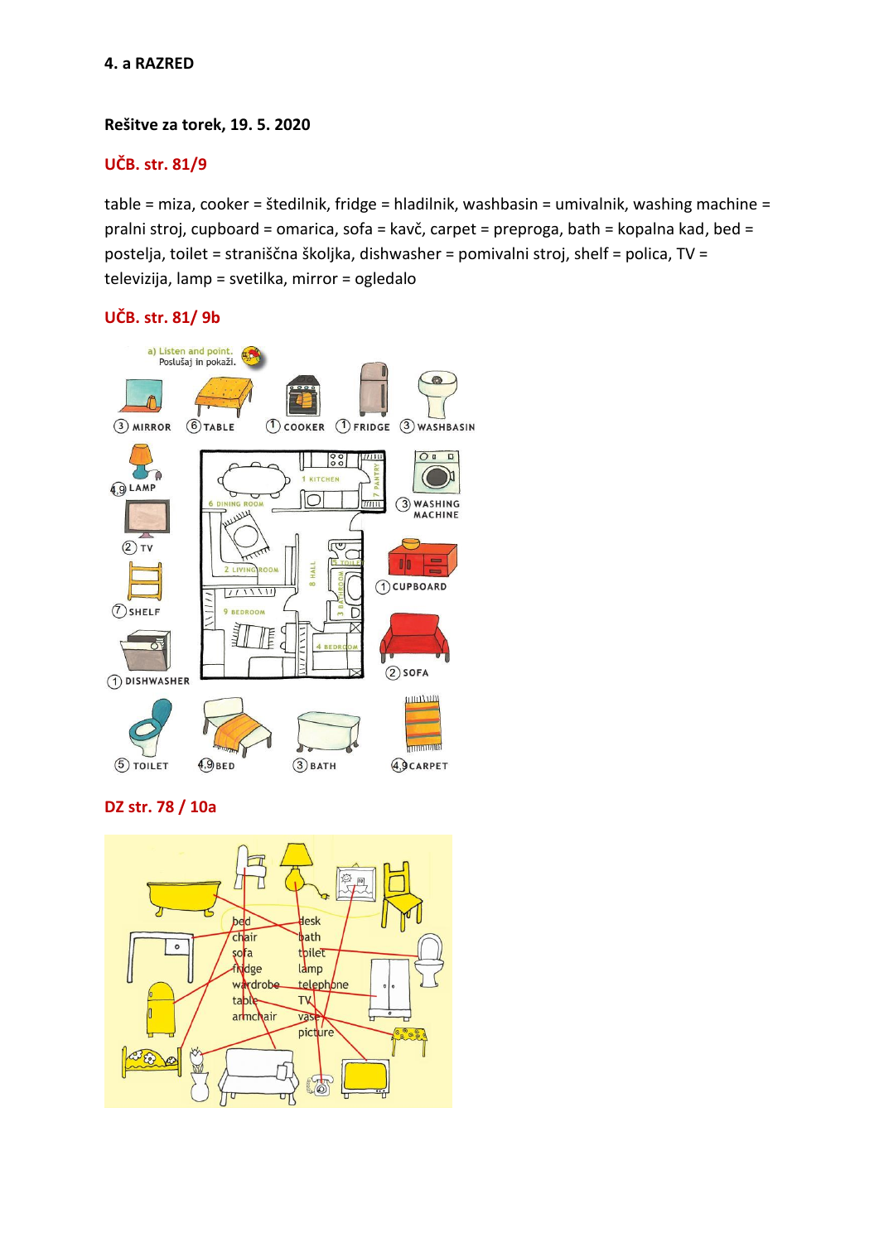## **Rešitve za torek, 19. 5. 2020**

# **UČB. str. 81/9**

table = miza, cooker = štedilnik, fridge = hladilnik, washbasin = umivalnik, washing machine = pralni stroj, cupboard = omarica, sofa = kavč, carpet = preproga, bath = kopalna kad, bed = postelja, toilet = straniščna školjka, dishwasher = pomivalni stroj, shelf = polica, TV = televizija, lamp = svetilka, mirror = ogledalo

## **UČB. str. 81/ 9b**



**DZ str. 78 / 10a**